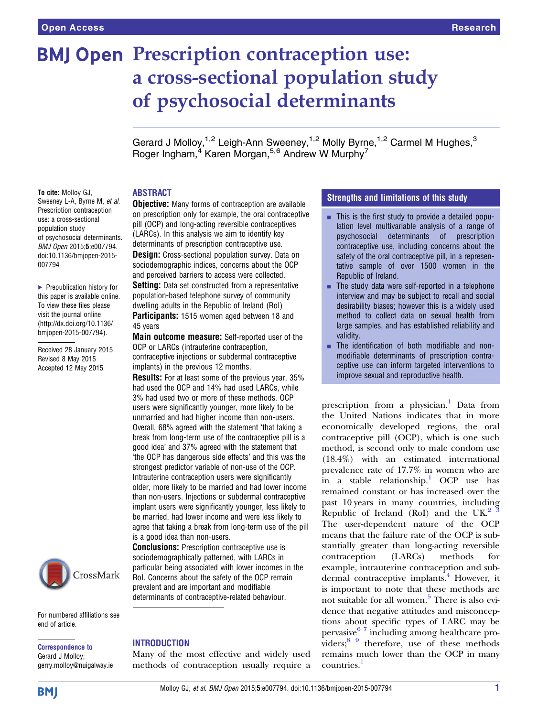# **BMJ Open Prescription contraception use:** a cross-sectional population study of psychosocial determinants

Gerard J Molloy,<sup>1,2</sup> Leigh-Ann Sweeney,<sup>1,2</sup> Molly Byrne,<sup>1,2</sup> Carmel M Hughes,<sup>3</sup> Roger Ingham,<sup>4</sup> Karen Morgan,<sup>5,6</sup> Andrew W Murphy<sup>7</sup>

#### To cite: Molloy GJ, Sweeney L-A, Byrne M, et al. Prescription contraception use: a cross-sectional population study of psychosocial determinants. BMJ Open 2015;5:e007794. doi:10.1136/bmjopen-2015- 007794

▶ Prepublication history for this paper is available online. To view these files please visit the journal online [\(http://dx.doi.org/10.1136/](http://dx.doi.org/10.1136/bmjopen-2015-007794) [bmjopen-2015-007794](http://dx.doi.org/10.1136/bmjopen-2015-007794)).

Received 28 January 2015 Revised 8 May 2015 Accepted 12 May 2015



For numbered affiliations see end of article.

Correspondence to Gerard J Molloy; gerry.molloy@nuigalway.ie

# ABSTRACT

**Objective:** Many forms of contraception are available on prescription only for example, the oral contraceptive pill (OCP) and long-acting reversible contraceptives (LARCs). In this analysis we aim to identify key determinants of prescription contraceptive use. **Design:** Cross-sectional population survey. Data on sociodemographic indices, concerns about the OCP and perceived barriers to access were collected. Setting: Data set constructed from a representative population-based telephone survey of community dwelling adults in the Republic of Ireland (RoI) Participants: 1515 women aged between 18 and 45 years

Main outcome measure: Self-reported user of the OCP or LARCs (intrauterine contraception, contraceptive injections or subdermal contraceptive implants) in the previous 12 months.

Results: For at least some of the previous year, 35% had used the OCP and 14% had used LARCs, while 3% had used two or more of these methods. OCP users were significantly younger, more likely to be unmarried and had higher income than non-users. Overall, 68% agreed with the statement 'that taking a break from long-term use of the contraceptive pill is a good idea' and 37% agreed with the statement that 'the OCP has dangerous side effects' and this was the strongest predictor variable of non-use of the OCP. Intrauterine contraception users were significantly older, more likely to be married and had lower income than non-users. Injections or subdermal contraceptive implant users were significantly younger, less likely to be married, had lower income and were less likely to agree that taking a break from long-term use of the pill is a good idea than non-users.

Conclusions: Prescription contraceptive use is sociodemographically patterned, with LARCs in particular being associated with lower incomes in the RoI. Concerns about the safety of the OCP remain prevalent and are important and modifiable determinants of contraceptive-related behaviour.

# INTRODUCTION

Many of the most effective and widely used methods of contraception usually require a

# Strengths and limitations of this study

- $\blacksquare$  This is the first study to provide a detailed population level multivariable analysis of a range of psychosocial determinants of prescription contraceptive use, including concerns about the safety of the oral contraceptive pill, in a representative sample of over 1500 women in the Republic of Ireland.
- The study data were self-reported in a telephone interview and may be subject to recall and social desirability biases; however this is a widely used method to collect data on sexual health from large samples, and has established reliability and validity.
- The identification of both modifiable and nonmodifiable determinants of prescription contraceptive use can inform targeted interventions to improve sexual and reproductive health.

prescription from a physician.<sup>[1](#page-6-0)</sup> Data from the United Nations indicates that in more economically developed regions, the oral contraceptive pill (OCP), which is one such method, is second only to male condom use (18.4%) with an estimated international prevalence rate of 17.7% in women who are in a stable relationship.<sup>[1](#page-6-0)</sup> OCP use has remained constant or has increased over the past 10 years in many countries, including Republic of Ireland (RoI) and the UK.<sup>2  $\frac{3}{3}$ </sup> The user-dependent nature of the OCP means that the failure rate of the OCP is substantially greater than long-acting reversible contraception (LARCs) methods for example, intrauterine contraception and sub-dermal contraceptive implants.<sup>[4](#page-6-0)</sup> However, it is important to note that these methods are not suitable for all women.<sup>[5](#page-6-0)</sup> There is also evidence that negative attitudes and misconceptions about specific types of LARC may be pervasive[6 7](#page-6-0) including among healthcare pro-viders;<sup>[8 9](#page-6-0)</sup> therefore, use of these methods remains much lower than the OCP in many countries.<sup>[1](#page-6-0)</sup>

**BMJ**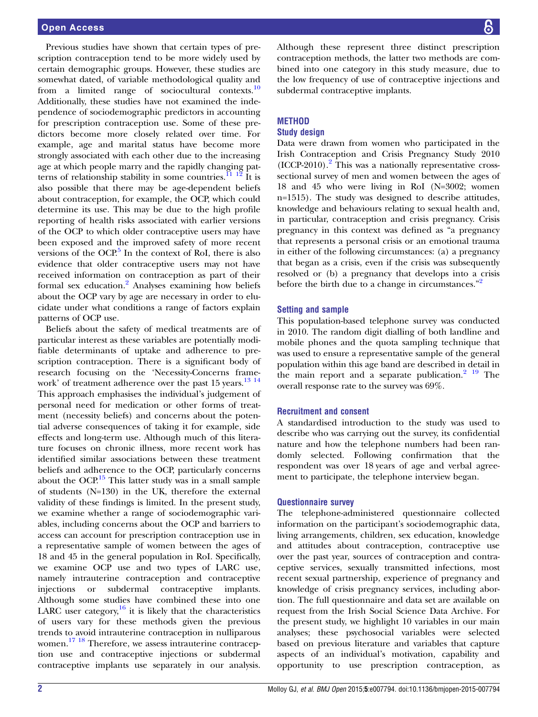Previous studies have shown that certain types of prescription contraception tend to be more widely used by certain demographic groups. However, these studies are somewhat dated, of variable methodological quality and from a limited range of sociocultural contexts.<sup>[10](#page-6-0)</sup> Additionally, these studies have not examined the independence of sociodemographic predictors in accounting for prescription contraception use. Some of these predictors become more closely related over time. For example, age and marital status have become more strongly associated with each other due to the increasing age at which people marry and the rapidly changing pat-terns of relationship stability in some countries.<sup>[11 12](#page-6-0)</sup> It is also possible that there may be age-dependent beliefs about contraception, for example, the OCP, which could determine its use. This may be due to the high profile reporting of health risks associated with earlier versions of the OCP to which older contraceptive users may have been exposed and the improved safety of more recent versions of the  $OCP<sup>5</sup>$  In the context of RoI, there is also evidence that older contraceptive users may not have received information on contraception as part of their formal sex education.<sup>[2](#page-6-0)</sup> Analyses examining how beliefs about the OCP vary by age are necessary in order to elucidate under what conditions a range of factors explain patterns of OCP use.

Beliefs about the safety of medical treatments are of particular interest as these variables are potentially modifiable determinants of uptake and adherence to prescription contraception. There is a significant body of research focusing on the 'Necessity-Concerns frame-work' of treatment adherence over the past 15 years.<sup>[13](#page-6-0) [14](#page-7-0)</sup> This approach emphasises the individual's judgement of personal need for medication or other forms of treatment (necessity beliefs) and concerns about the potential adverse consequences of taking it for example, side effects and long-term use. Although much of this literature focuses on chronic illness, more recent work has identified similar associations between these treatment beliefs and adherence to the OCP, particularly concerns about the  $OCP<sup>15</sup>$ . This latter study was in a small sample of students (N=130) in the UK, therefore the external validity of these findings is limited. In the present study, we examine whether a range of sociodemographic variables, including concerns about the OCP and barriers to access can account for prescription contraception use in a representative sample of women between the ages of 18 and 45 in the general population in RoI. Specifically, we examine OCP use and two types of LARC use, namely intrauterine contraception and contraceptive injections or subdermal contraceptive implants. Although some studies have combined these into one LARC user category, $16$  it is likely that the characteristics of users vary for these methods given the previous trends to avoid intrauterine contraception in nulliparous women.<sup>[17 18](#page-7-0)</sup> Therefore, we assess intrauterine contraception use and contraceptive injections or subdermal contraceptive implants use separately in our analysis.

Although these represent three distinct prescription contraception methods, the latter two methods are combined into one category in this study measure, due to the low frequency of use of contraceptive injections and subdermal contraceptive implants.

# **METHOD**

# Study design

Data were drawn from women who participated in the Irish Contraception and Crisis Pregnancy Study 2010  $(ICCP-2010)$  $(ICCP-2010)$  $(ICCP-2010)$ .<sup>2</sup> This was a nationally representative crosssectional survey of men and women between the ages of 18 and 45 who were living in RoI (N=3002; women n=1515). The study was designed to describe attitudes, knowledge and behaviours relating to sexual health and, in particular, contraception and crisis pregnancy. Crisis pregnancy in this context was defined as "a pregnancy that represents a personal crisis or an emotional trauma in either of the following circumstances: (a) a pregnancy that began as a crisis, even if the crisis was subsequently resolved or (b) a pregnancy that develops into a crisis before the birth due to a change in circumstances."<sup>[2](#page-6-0)</sup>

#### Setting and sample

This population-based telephone survey was conducted in 2010. The random digit dialling of both landline and mobile phones and the quota sampling technique that was used to ensure a representative sample of the general population within this age band are described in detail in the main report and a separate publication. $2^{19}$  $2^{19}$  The overall response rate to the survey was 69%.

## Recruitment and consent

A standardised introduction to the study was used to describe who was carrying out the survey, its confidential nature and how the telephone numbers had been randomly selected. Following confirmation that the respondent was over 18 years of age and verbal agreement to participate, the telephone interview began.

#### Questionnaire survey

The telephone-administered questionnaire collected information on the participant's sociodemographic data, living arrangements, children, sex education, knowledge and attitudes about contraception, contraceptive use over the past year, sources of contraception and contraceptive services, sexually transmitted infections, most recent sexual partnership, experience of pregnancy and knowledge of crisis pregnancy services, including abortion. The full questionnaire and data set are available on request from the Irish Social Science Data Archive. For the present study, we highlight 10 variables in our main analyses; these psychosocial variables were selected based on previous literature and variables that capture aspects of an individual's motivation, capability and opportunity to use prescription contraception, as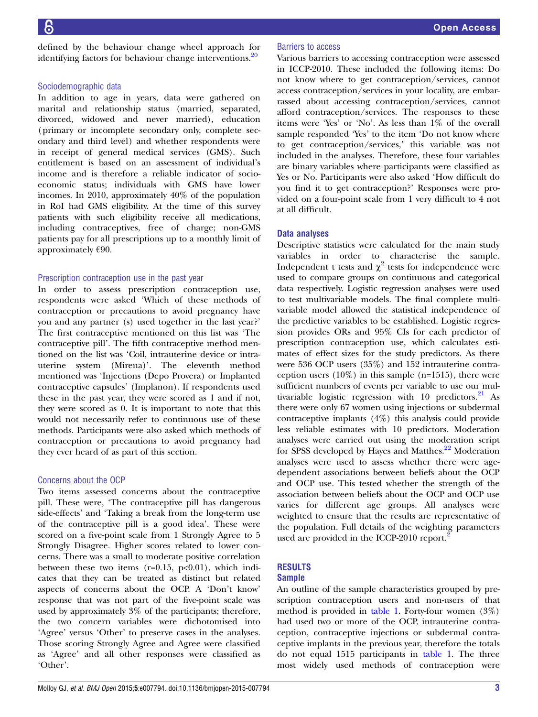defined by the behaviour change wheel approach for identifying factors for behaviour change interventions.<sup>[20](#page-7-0)</sup>

## Sociodemographic data

In addition to age in years, data were gathered on marital and relationship status (married, separated, divorced, widowed and never married), education (primary or incomplete secondary only, complete secondary and third level) and whether respondents were in receipt of general medical services (GMS). Such entitlement is based on an assessment of individual's income and is therefore a reliable indicator of socioeconomic status; individuals with GMS have lower incomes. In 2010, approximately 40% of the population in RoI had GMS eligibility. At the time of this survey patients with such eligibility receive all medications, including contraceptives, free of charge; non-GMS patients pay for all prescriptions up to a monthly limit of approximately €90.

# Prescription contraception use in the past year

In order to assess prescription contraception use, respondents were asked 'Which of these methods of contraception or precautions to avoid pregnancy have you and any partner (s) used together in the last year?' The first contraceptive mentioned on this list was 'The contraceptive pill'. The fifth contraceptive method mentioned on the list was 'Coil, intrauterine device or intrauterine system (Mirena)'. The eleventh method mentioned was 'Injections (Depo Provera) or Implanted contraceptive capsules' (Implanon). If respondents used these in the past year, they were scored as 1 and if not, they were scored as 0. It is important to note that this would not necessarily refer to continuous use of these methods. Participants were also asked which methods of contraception or precautions to avoid pregnancy had they ever heard of as part of this section.

# Concerns about the OCP

Two items assessed concerns about the contraceptive pill. These were, 'The contraceptive pill has dangerous side-effects' and 'Taking a break from the long-term use of the contraceptive pill is a good idea'. These were scored on a five-point scale from 1 Strongly Agree to 5 Strongly Disagree. Higher scores related to lower concerns. There was a small to moderate positive correlation between these two items  $(r=0.15, p<0.01)$ , which indicates that they can be treated as distinct but related aspects of concerns about the OCP. A 'Don't know' response that was not part of the five-point scale was used by approximately 3% of the participants; therefore, the two concern variables were dichotomised into 'Agree' versus 'Other' to preserve cases in the analyses. Those scoring Strongly Agree and Agree were classified as 'Agree' and all other responses were classified as 'Other'.

## Barriers to access

Various barriers to accessing contraception were assessed in ICCP-2010. These included the following items: Do not know where to get contraception/services, cannot access contraception/services in your locality, are embarrassed about accessing contraception/services, cannot afford contraception/services. The responses to these items were 'Yes' or 'No'. As less than 1% of the overall sample responded 'Yes' to the item 'Do not know where to get contraception/services,' this variable was not included in the analyses. Therefore, these four variables are binary variables where participants were classified as Yes or No. Participants were also asked 'How difficult do you find it to get contraception?' Responses were provided on a four-point scale from 1 very difficult to 4 not at all difficult.

# Data analyses

Descriptive statistics were calculated for the main study variables in order to characterise the sample. Independent t tests and  $\chi^2$  tests for independence were used to compare groups on continuous and categorical data respectively. Logistic regression analyses were used to test multivariable models. The final complete multivariable model allowed the statistical independence of the predictive variables to be established. Logistic regression provides ORs and 95% CIs for each predictor of prescription contraception use, which calculates estimates of effect sizes for the study predictors. As there were 536 OCP users (35%) and 152 intrauterine contraception users  $(10\%)$  in this sample (n=1515), there were sufficient numbers of events per variable to use our multivariable logistic regression with 10 predictors. $^{21}$  $^{21}$  $^{21}$  As there were only 67 women using injections or subdermal contraceptive implants (4%) this analysis could provide less reliable estimates with 10 predictors. Moderation analyses were carried out using the moderation script for SPSS developed by Hayes and Matthes.<sup>[22](#page-7-0)</sup> Moderation analyses were used to assess whether there were agedependent associations between beliefs about the OCP and OCP use. This tested whether the strength of the association between beliefs about the OCP and OCP use varies for different age groups. All analyses were weighted to ensure that the results are representative of the population. Full details of the weighting parameters used are provided in the ICCP-[2](#page-6-0)010 report.<sup>2</sup>

#### RESULTS Sample

An outline of the sample characteristics grouped by prescription contraception users and non-users of that method is provided in [table 1](#page-3-0). Forty-four women (3%) had used two or more of the OCP, intrauterine contraception, contraceptive injections or subdermal contraceptive implants in the previous year, therefore the totals do not equal 1515 participants in [table 1.](#page-3-0) The three most widely used methods of contraception were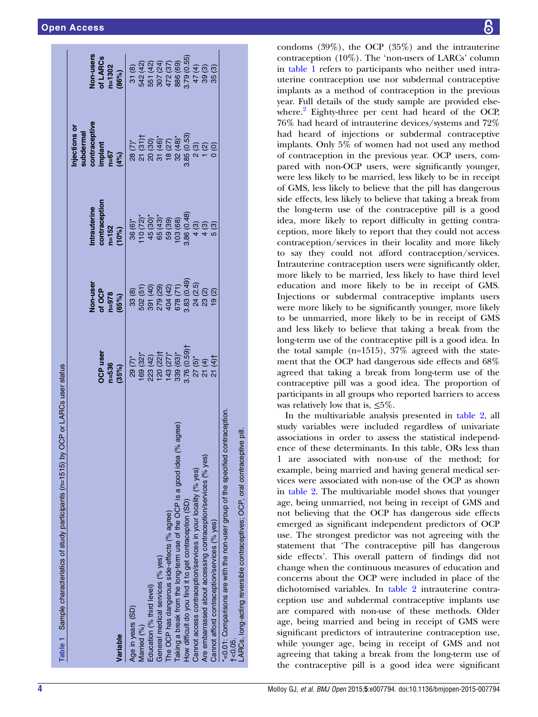<span id="page-3-0"></span>

| OCP or LARCs user status<br>Sample characteristics of study participants (n=1515) by<br>Table 1 |                                                                                                                                                                                                                                              |                                                                                   |                                                                                                                                                       |                                                                                                                                             |                                                                                     |
|-------------------------------------------------------------------------------------------------|----------------------------------------------------------------------------------------------------------------------------------------------------------------------------------------------------------------------------------------------|-----------------------------------------------------------------------------------|-------------------------------------------------------------------------------------------------------------------------------------------------------|---------------------------------------------------------------------------------------------------------------------------------------------|-------------------------------------------------------------------------------------|
|                                                                                                 |                                                                                                                                                                                                                                              | Jon-use                                                                           | ntrauterine                                                                                                                                           | contraceptive<br>njections or<br>subdermal                                                                                                  | <b>Von-users</b>                                                                    |
|                                                                                                 | <b>OCP</b> user                                                                                                                                                                                                                              |                                                                                   | contraception                                                                                                                                         |                                                                                                                                             | of LARCs                                                                            |
| Variable                                                                                        | n=536<br>(35%)                                                                                                                                                                                                                               | of OCP<br>n=978<br>(65%)                                                          | $n=152$<br>(10%)                                                                                                                                      | implant<br>n=67<br>(4%)                                                                                                                     | n=1302<br>(86%)                                                                     |
| Age in years (SD)                                                                               | $(7)$ $(7)$<br>$(8)$<br>$(8)$<br>$(8)$<br>$(2)$<br>$(4)$<br>$(2)$<br>$(2)$<br>$(2)$<br>$(3)$<br>$(3)$<br>$(5)$<br>$(5)$<br>$(6)$<br>$(7)$<br>$(8)$<br>$(6)$<br>$(7)$<br>$(8)$<br>$(1)$<br>$(2)$<br>$(3)$<br>$(5)$<br>$(6)$<br>$(7)$<br>$(8)$ | 33(8)                                                                             | $\begin{array}{l} 36 (6)^* \\ 110 (72)^* \\ 45 (30)^* \\ 65 (43) \\ 69 (39) \\ 10 (30) \\ 69 (30) \\ 10 (30) \\ 10 (30) \\ 4 \ 4 \ 4 \ 9 \end{array}$ | $28(7)$<br>$21(31)$<br>$21(30)$<br>$21(30)$<br>$21(30)$<br>$21(30)$<br>$21(30)$<br>$21(30)$<br>$21(30)$<br>$21(30)$<br>$21(30)$<br>$21(30)$ | 31 (8)<br>542 (42)<br>551 (42)<br>507 (24)<br>472 (37)<br>472 (0.55)<br>3.79 (0.55) |
| Married (%)                                                                                     |                                                                                                                                                                                                                                              |                                                                                   |                                                                                                                                                       |                                                                                                                                             |                                                                                     |
| Education (% third level)                                                                       |                                                                                                                                                                                                                                              |                                                                                   |                                                                                                                                                       |                                                                                                                                             |                                                                                     |
| General medical services (% yes)                                                                |                                                                                                                                                                                                                                              |                                                                                   |                                                                                                                                                       |                                                                                                                                             |                                                                                     |
| The OCP has dangerous side-effects (% agree)                                                    |                                                                                                                                                                                                                                              |                                                                                   |                                                                                                                                                       |                                                                                                                                             |                                                                                     |
| (% agree)<br>Taking a break from the long-term use of the OCP is a good idea (                  |                                                                                                                                                                                                                                              |                                                                                   |                                                                                                                                                       |                                                                                                                                             |                                                                                     |
| How difficult do you find it to get contraception (SD)                                          |                                                                                                                                                                                                                                              | 502 (51)<br>391 (40)<br>391 (40)<br>391 (42)<br>403 (71)<br>673 (2.5)<br>34 (2.5) |                                                                                                                                                       |                                                                                                                                             |                                                                                     |
| Cannot access contraception/services in your locality (% yes)                                   |                                                                                                                                                                                                                                              |                                                                                   |                                                                                                                                                       |                                                                                                                                             | 47(4)<br>39(3)                                                                      |
| Are embarrassed about accessing contraception/services (% yes)                                  |                                                                                                                                                                                                                                              | 23(2)<br>19(2)                                                                    |                                                                                                                                                       |                                                                                                                                             |                                                                                     |
| Cannot afford contraception/services (% yes)                                                    |                                                                                                                                                                                                                                              |                                                                                   |                                                                                                                                                       |                                                                                                                                             | 35(3)                                                                               |
| *<0.01: Comparisons are with the non-user group of the specified contraception                  |                                                                                                                                                                                                                                              |                                                                                   |                                                                                                                                                       |                                                                                                                                             |                                                                                     |
| $+0.05.$                                                                                        |                                                                                                                                                                                                                                              |                                                                                   |                                                                                                                                                       |                                                                                                                                             |                                                                                     |
| LARCs, long-acting reversible contraceptives; OCP, oral contraceptive pill                      |                                                                                                                                                                                                                                              |                                                                                   |                                                                                                                                                       |                                                                                                                                             |                                                                                     |

condoms (39%), the OCP (35%) and the intrauterine contraception (10%). The 'non-users of LARCs' column in table 1 refers to participants who neither used intrauterine contraception use nor subdermal contraceptive implants as a method of contraception in the previous year. Full details of the study sample are provided elsewhere.<sup>2</sup> Eighty-three per cent had heard of the OCP, 76% had heard of intrauterine devices/systems and 72% had heard of injections or subdermal contraceptive implants. Only 5% of women had not used any method of contraception in the previous year. OCP users, compared with non-OCP users, were significantly younger, were less likely to be married, less likely to be in receipt of GMS, less likely to believe that the pill has dangerous side effects, less likely to believe that taking a break from the long-term use of the contraceptive pill is a good idea, more likely to report difficulty in getting contraception, more likely to report that they could not access contraception/services in their locality and more likely to say they could not afford contraception/services. Intrauterine contraception users were significantly older, more likely to be married, less likely to have third level education and more likely to be in receipt of GMS. Injections or subdermal contraceptive implants users were more likely to be significantly younger, more likely to be unmarried, more likely to be in receipt of GMS and less likely to believe that taking a break from the long-term use of the contraceptive pill is a good idea. In the total sample (n=1515),  $37\%$  agreed with the statement that the OCP had dangerous side effects and 68% agreed that taking a break from long-term use of the contraceptive pill was a good idea. The proportion of participants in all groups who reported barriers to access was relatively low that is,  $\leq 5\%$ .

In the multivariable analysis presented in [table 2](#page-4-0), all study variables were included regardless of univariate associations in order to assess the statistical independence of these determinants. In this table, ORs less than 1 are associated with non-use of the method; for example, being married and having general medical services were associated with non-use of the OCP as shown in [table 2.](#page-4-0) The multivariable model shows that younger age, being unmarried, not being in receipt of GMS and not believing that the OCP has dangerous side effects emerged as significant independent predictors of OCP use. The strongest predictor was not agreeing with the statement that 'The contraceptive pill has dangerous side effects'. This overall pattern of findings did not change when the continuous measures of education and concerns about the OCP were included in place of the dichotomised variables. In [table 2](#page-4-0) intrauterine contraception use and subdermal contraceptive implants use are compared with non-use of these methods. Older age, being married and being in receipt of GMS were significant predictors of intrauterine contraception use, while younger age, being in receipt of GMS and not agreeing that taking a break from the long-term use of the contraceptive pill is a good idea were significant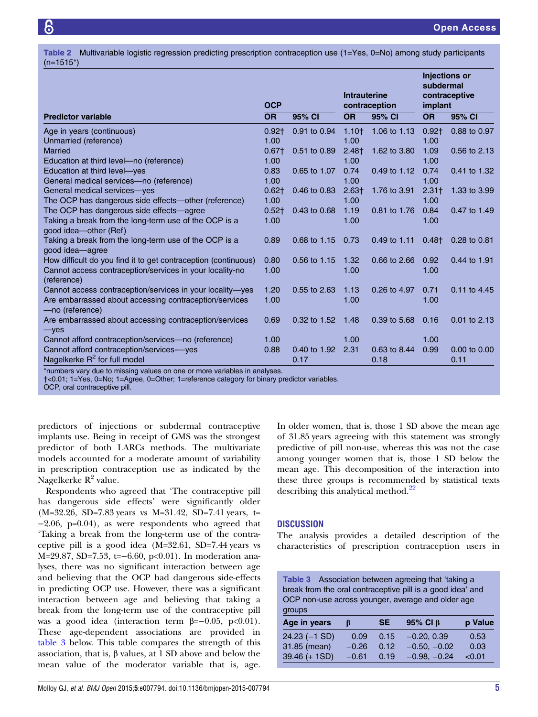<span id="page-4-0"></span>Table 2 Multivariable logistic regression predicting prescription contraception use (1=Yes, 0=No) among study participants (n=1515\*)

|                                                                                | <b>OCP</b> |              | <b>Intrauterine</b> | contraception  | <b>Injections or</b><br>subdermal<br>implant | contraceptive    |
|--------------------------------------------------------------------------------|------------|--------------|---------------------|----------------|----------------------------------------------|------------------|
| <b>Predictor variable</b>                                                      | <b>OR</b>  | 95% CI       | <b>OR</b>           | 95% CI         | <b>OR</b>                                    | 95% CI           |
| Age in years (continuous)                                                      | $0.92+$    | 0.91 to 0.94 | $1.10+$             | 1.06 to $1.13$ | $0.92+$                                      | 0.88 to 0.97     |
| Unmarried (reference)                                                          | 1.00       |              | 1.00                |                | 1.00                                         |                  |
| Married                                                                        | $0.67+$    | 0.51 to 0.89 | 2.48†               | 1.62 to 3.80   | 1.09                                         | 0.56 to 2.13     |
| Education at third level-no (reference)                                        | 1.00       |              | 1.00                |                | 1.00                                         |                  |
| Education at third level-yes                                                   | 0.83       | 0.65 to 1.07 | 0.74                | 0.49 to 1.12   | 0.74                                         | 0.41 to 1.32     |
| General medical services-no (reference)                                        | 1.00       |              | 1.00                |                | 1.00                                         |                  |
| General medical services-yes                                                   | $0.62+$    | 0.46 to 0.83 | $2.63+$             | 1.76 to 3.91   | $2.31+$                                      | 1.33 to 3.99     |
| The OCP has dangerous side effects—other (reference)                           | 1.00       |              | 1.00                |                | 1.00                                         |                  |
| The OCP has dangerous side effects-agree                                       | $0.52+$    | 0.43 to 0.68 | 1.19                | 0.81 to 1.76   | 0.84                                         | 0.47 to 1.49     |
| Taking a break from the long-term use of the OCP is a<br>good idea-other (Ref) | 1.00       |              | 1.00                |                | 1.00                                         |                  |
| Taking a break from the long-term use of the OCP is a<br>good idea-agree       | 0.89       | 0.68 to 1.15 | 0.73                | 0.49 to 1.11   | $0.48+$                                      | 0.28 to 0.81     |
| How difficult do you find it to get contraception (continuous)                 | 0.80       | 0.56 to 1.15 | 1.32                | 0.66 to 2.66   | 0.92                                         | 0.44 to 1.91     |
| Cannot access contraception/services in your locality-no<br>(reference)        | 1.00       |              | 1.00                |                | 1.00                                         |                  |
| Cannot access contraception/services in your locality-yes                      | 1.20       | 0.55 to 2.63 | 1.13                | 0.26 to 4.97   | 0.71                                         | 0.11 to 4.45     |
| Are embarrassed about accessing contraception/services<br>-no (reference)      | 1.00       |              | 1.00                |                | 1.00                                         |                  |
| Are embarrassed about accessing contraception/services<br>$-$ yes              | 0.69       | 0.32 to 1.52 | 1.48                | 0.39 to 5.68   | 0.16                                         | $0.01$ to $2.13$ |
| Cannot afford contraception/services-no (reference)                            | 1.00       |              | 1.00                |                | 1.00                                         |                  |
| Cannot afford contraception/services---- yes                                   | 0.88       | 0.40 to 1.92 | 2.31                | 0.63 to 8.44   | 0.99                                         | 0.00 to 0.00     |
| Nagelkerke $R^2$ for full model                                                |            | 0.17         |                     | 0.18           |                                              | 0.11             |
|                                                                                |            |              |                     |                |                                              |                  |

\*numbers vary due to missing values on one or more variables in analyses.

†<0.01; 1=Yes, 0=No; 1=Agree, 0=Other; 1=reference category for binary predictor variables.

OCP, oral contraceptive pill.

predictors of injections or subdermal contraceptive implants use. Being in receipt of GMS was the strongest predictor of both LARCs methods. The multivariate models accounted for a moderate amount of variability in prescription contraception use as indicated by the Nagelkerke  $R^2$  value.

Respondents who agreed that 'The contraceptive pill has dangerous side effects' were significantly older  $(M=32.26, SD=7.83$  years vs  $M=31.42, SD=7.41$  years, t= −2.06, p=0.04), as were respondents who agreed that 'Taking a break from the long-term use of the contraceptive pill is a good idea (M=32.61, SD=7.44 years vs M=29.87, SD=7.53, t=−6.60, p<0.01). In moderation analyses, there was no significant interaction between age and believing that the OCP had dangerous side-effects in predicting OCP use. However, there was a significant interaction between age and believing that taking a break from the long-term use of the contraceptive pill was a good idea (interaction term  $\beta = -0.05$ ,  $p < 0.01$ ). These age-dependent associations are provided in table 3 below. This table compares the strength of this association, that is, β values, at 1 SD above and below the mean value of the moderator variable that is, age.

In older women, that is, those 1 SD above the mean age of 31.85 years agreeing with this statement was strongly predictive of pill non-use, whereas this was not the case among younger women that is, those 1 SD below the mean age. This decomposition of the interaction into these three groups is recommended by statistical texts describing this analytical method.<sup>[22](#page-7-0)</sup>

# **DISCUSSION**

The analysis provides a detailed description of the characteristics of prescription contraception users in

| <b>Table 3</b> Association between agreeing that 'taking a |  |
|------------------------------------------------------------|--|
| break from the oral contraceptive pill is a good idea' and |  |
| OCP non-use across younger, average and older age          |  |
| groups                                                     |  |

| Age in years    | ß       | <b>SE</b> | 95% Cl $\beta$ | p Value |
|-----------------|---------|-----------|----------------|---------|
| $24.23 (-1 SD)$ | 0.09    | 0.15      | $-0.20, 0.39$  | 0.53    |
| 31.85 (mean)    | $-0.26$ | 0.12      | $-0.50, -0.02$ | 0.03    |
| $39.46 (+ 1SD)$ | $-0.61$ | 0.19      | $-0.98, -0.24$ | < 0.01  |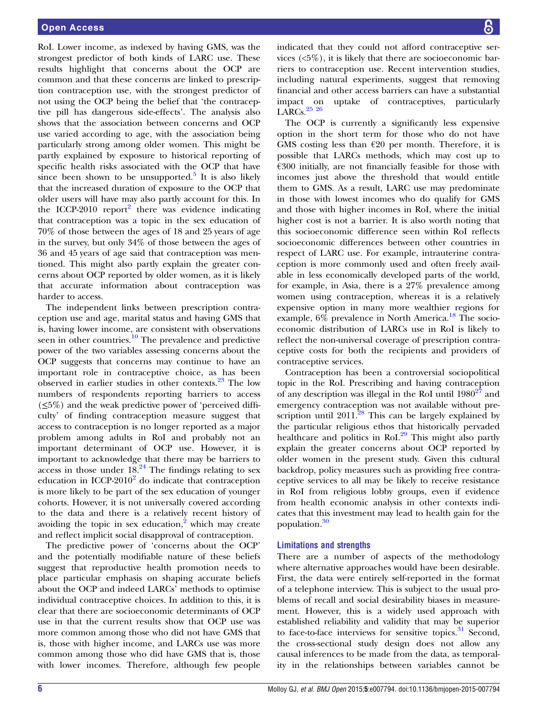RoI. Lower income, as indexed by having GMS, was the strongest predictor of both kinds of LARC use. These results highlight that concerns about the OCP are common and that these concerns are linked to prescription contraception use, with the strongest predictor of not using the OCP being the belief that 'the contraceptive pill has dangerous side-effects'. The analysis also shows that the association between concerns and OCP use varied according to age, with the association being particularly strong among older women. This might be partly explained by exposure to historical reporting of specific health risks associated with the OCP that have since been shown to be unsupported.<sup>[5](#page-6-0)</sup> It is also likely that the increased duration of exposure to the OCP that older users will have may also partly account for this. In the ICCP-[2](#page-6-0)010 report<sup>2</sup> there was evidence indicating that contraception was a topic in the sex education of 70% of those between the ages of 18 and 25 years of age in the survey, but only 34% of those between the ages of 36 and 45 years of age said that contraception was mentioned. This might also partly explain the greater concerns about OCP reported by older women, as it is likely that accurate information about contraception was harder to access.

The independent links between prescription contraception use and age, marital status and having GMS that is, having lower income, are consistent with observations seen in other countries. $\frac{10}{10}$  $\frac{10}{10}$  $\frac{10}{10}$  The prevalence and predictive power of the two variables assessing concerns about the OCP suggests that concerns may continue to have an important role in contraceptive choice, as has been observed in earlier studies in other contexts.<sup>[23](#page-7-0)</sup> The low numbers of respondents reporting barriers to access  $(\leq 5\%)$  and the weak predictive power of 'perceived difficulty' of finding contraception measure suggest that access to contraception is no longer reported as a major problem among adults in RoI and probably not an important determinant of OCP use. However, it is important to acknowledge that there may be barriers to access in those under  $18<sup>24</sup>$  $18<sup>24</sup>$  $18<sup>24</sup>$ . The findings relating to sex education in ICCP-[2](#page-6-0)010 $^2$  do indicate that contraception is more likely to be part of the sex education of younger cohorts. However, it is not universally covered according to the data and there is a relatively recent history of avoiding the topic in sex education, $2$  which may create and reflect implicit social disapproval of contraception.

The predictive power of 'concerns about the OCP' and the potentially modifiable nature of these beliefs suggest that reproductive health promotion needs to place particular emphasis on shaping accurate beliefs about the OCP and indeed LARCs' methods to optimise individual contraceptive choices. In addition to this, it is clear that there are socioeconomic determinants of OCP use in that the current results show that OCP use was more common among those who did not have GMS that is, those with higher income, and LARCs use was more common among those who did have GMS that is, those with lower incomes. Therefore, although few people

indicated that they could not afford contraceptive services (<5%), it is likely that there are socioeconomic barriers to contraception use. Recent intervention studies, including natural experiments, suggest that removing financial and other access barriers can have a substantial impact on uptake of contraceptives, particularly LARCs.<sup>25</sup> 26

The OCP is currently a significantly less expensive option in the short term for those who do not have GMS costing less than  $E20$  per month. Therefore, it is possible that LARCs methods, which may cost up to  $€300$  initially, are not financially feasible for those with incomes just above the threshold that would entitle them to GMS. As a result, LARC use may predominate in those with lowest incomes who do qualify for GMS and those with higher incomes in RoI, where the initial higher cost is not a barrier. It is also worth noting that this socioeconomic difference seen within RoI reflects socioeconomic differences between other countries in respect of LARC use. For example, intrauterine contraception is more commonly used and often freely available in less economically developed parts of the world, for example, in Asia, there is a 27% prevalence among women using contraception, whereas it is a relatively expensive option in many more wealthier regions for example, 6% prevalence in North America.<sup>[18](#page-7-0)</sup> The socioeconomic distribution of LARCs use in RoI is likely to reflect the non-universal coverage of prescription contraceptive costs for both the recipients and providers of contraceptive services.

Contraception has been a controversial sociopolitical topic in the RoI. Prescribing and having contraception of any description was illegal in the RoI until  $1980^{27}$  $1980^{27}$  $1980^{27}$  and emergency contraception was not available without prescription until  $2011.^{28}$  $2011.^{28}$  $2011.^{28}$  This can be largely explained by the particular religious ethos that historically pervaded healthcare and politics in RoI. $29$  This might also partly explain the greater concerns about OCP reported by older women in the present study. Given this cultural backdrop, policy measures such as providing free contraceptive services to all may be likely to receive resistance in RoI from religious lobby groups, even if evidence from health economic analysis in other contexts indicates that this investment may lead to health gain for the population.[30](#page-7-0)

## Limitations and strengths

There are a number of aspects of the methodology where alternative approaches would have been desirable. First, the data were entirely self-reported in the format of a telephone interview. This is subject to the usual problems of recall and social desirability biases in measurement. However, this is a widely used approach with established reliability and validity that may be superior to face-to-face interviews for sensitive topics. $31$  Second, the cross-sectional study design does not allow any causal inferences to be made from the data, as temporality in the relationships between variables cannot be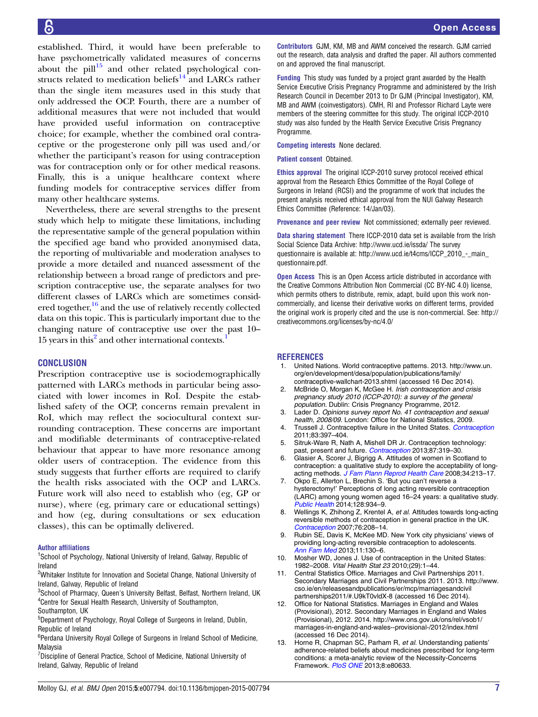<span id="page-6-0"></span>established. Third, it would have been preferable to have psychometrically validated measures of concerns about the pill $15$  and other related psychological constructs related to medication beliefs $^{14}$  $^{14}$  $^{14}$  and LARCs rather than the single item measures used in this study that only addressed the OCP. Fourth, there are a number of additional measures that were not included that would have provided useful information on contraceptive choice; for example, whether the combined oral contraceptive or the progesterone only pill was used and/or whether the participant's reason for using contraception was for contraception only or for other medical reasons. Finally, this is a unique healthcare context where funding models for contraceptive services differ from many other healthcare systems.

Nevertheless, there are several strengths to the present study which help to mitigate these limitations, including the representative sample of the general population within the specified age band who provided anonymised data, the reporting of multivariable and moderation analyses to provide a more detailed and nuanced assessment of the relationship between a broad range of predictors and prescription contraceptive use, the separate analyses for two different classes of LARCs which are sometimes considered together, $16$  and the use of relatively recently collected data on this topic. This is particularly important due to the changing nature of contraceptive use over the past 10– 15 years in this<sup>2</sup> and other international contexts.<sup>1</sup>

## **CONCLUSION**

Prescription contraceptive use is sociodemographically patterned with LARCs methods in particular being associated with lower incomes in RoI. Despite the established safety of the OCP, concerns remain prevalent in RoI, which may reflect the sociocultural context surrounding contraception. These concerns are important and modifiable determinants of contraceptive-related behaviour that appear to have more resonance among older users of contraception. The evidence from this study suggests that further efforts are required to clarify the health risks associated with the OCP and LARCs. Future work will also need to establish who (eg, GP or nurse), where (eg, primary care or educational settings) and how (eg, during consultations or sex education classes), this can be optimally delivered.

#### Author affiliations

<sup>1</sup>School of Psychology, National University of Ireland, Galway, Republic of Ireland

<sup>2</sup>Whitaker Institute for Innovation and Societal Change, National University of Ireland, Galway, Republic of Ireland

 ${}^{3}$ School of Pharmacy, Queen's University Belfast, Belfast, Northern Ireland, UK <sup>4</sup> Centre for Sexual Health Research, University of Southampton,

Southampton, UK <sup>5</sup>Department of Psychology, Royal College of Surgeons in Ireland, Dublin, Republic of Ireland

<sup>6</sup>Perdana University Royal College of Surgeons in Ireland School of Medicine, Malaysia

<sup>7</sup> Discipline of General Practice, School of Medicine, National University of Ireland, Galway, Republic of Ireland

Contributors GJM, KM, MB and AWM conceived the research. GJM carried out the research, data analysis and drafted the paper. All authors commented on and approved the final manuscript.

Funding This study was funded by a project grant awarded by the Health Service Executive Crisis Pregnancy Programme and administered by the Irish Research Council in December 2013 to Dr GJM (Principal Investigator), KM, MB and AWM (coinvestigators). CMH, RI and Professor Richard Layte were members of the steering committee for this study. The original ICCP-2010 study was also funded by the Health Service Executive Crisis Pregnancy Programme.

Competing interests None declared.

Patient consent Obtained.

Ethics approval The original ICCP-2010 survey protocol received ethical approval from the Research Ethics Committee of the Royal College of Surgeons in Ireland (RCSI) and the programme of work that includes the present analysis received ethical approval from the NUI Galway Research Ethics Committee (Reference: 14/Jan/03).

Provenance and peer review Not commissioned; externally peer reviewed.

Data sharing statement There ICCP-2010 data set is available from the Irish Social Science Data Archive:<http://www.ucd.ie/issda/> The survey questionnaire is available at: [http://www.ucd.ie/t4cms/ICCP\\_2010\\_-\\_main\\_](http://www.ucd.ie/t4cms/ICCP_2010_-_main_questionnaire.pdf) [questionnaire.pdf.](http://www.ucd.ie/t4cms/ICCP_2010_-_main_questionnaire.pdf)

**Open Access** This is an Open Access article distributed in accordance with the Creative Commons Attribution Non Commercial (CC BY-NC 4.0) license, which permits others to distribute, remix, adapt, build upon this work noncommercially, and license their derivative works on different terms, provided the original work is properly cited and the use is non-commercial. See: [http://](http://creativecommons.org/licenses/by-nc/4.0/) [creativecommons.org/licenses/by-nc/4.0/](http://creativecommons.org/licenses/by-nc/4.0/)

#### **REFERENCES**

- 1. United Nations. World contraceptive patterns. 2013. [http://www.un.](http://www.un.org/en/development/desa/population/publications/family/contraceptive-wallchart-2013.shtml) [org/en/development/desa/population/publications/family/](http://www.un.org/en/development/desa/population/publications/family/contraceptive-wallchart-2013.shtml) [contraceptive-wallchart-2013.shtml](http://www.un.org/en/development/desa/population/publications/family/contraceptive-wallchart-2013.shtml) (accessed 16 Dec 2014).
- 2. McBride O, Morgan K, McGee H. Irish contraception and crisis pregnancy study 2010 (ICCP-2010): a survey of the general population. Dublin: Crisis Pregnancy Programme, 2012.
- 3. Lader D. Opinions survey report No. 41 contraception and sexual health, 2008/09. London: Office for National Statistics, 2009.
- 4. Trussell J. Contraceptive failure in the United States. [Contraception](http://dx.doi.org/10.1016/j.contraception.2011.01.021) 2011;83:397–404.
- 5. Sitruk-Ware R, Nath A, Mishell DR Jr. Contraception technology: past, present and future. [Contraception](http://dx.doi.org/10.1016/j.contraception.2012.08.002) 2013;87:319-30.
- 6. Glasier A, Scorer J, Bigrigg A. Attitudes of women in Scotland to contraception: a qualitative study to explore the acceptability of long-acting methods. [J Fam Plann Reprod Health Care](http://dx.doi.org/10.1783/147118908786000497) 2008;34:213-17.
- 7. Okpo E, Allerton L, Brechin S. 'But you can't reverse a hysterectomy!' Perceptions of long acting reversible contraception (LARC) among young women aged 16–24 years: a qualitative study. [Public Health](http://dx.doi.org/10.1016/j.puhe.2014.08.012) 2014;128:934–9.
- 8. Wellings K, Zhihong Z, Krentel A, et al. Attitudes towards long-acting reversible methods of contraception in general practice in the UK. [Contraception](http://dx.doi.org/10.1016/j.contraception.2007.05.085) 2007;76:208–14.
- Rubin SE, Davis K, McKee MD. New York city physicians' views of providing long-acting reversible contraception to adolescents. [Ann Fam Med](http://dx.doi.org/10.1370/afm.1450) 2013;11:130–6.
- 10. Mosher WD, Jones J. Use of contraception in the United States: 1982–2008. Vital Health Stat 23 2010;(29):1–44.
- 11. Central Statistics Office. Marriages and Civil Partnerships 2011. Secondary Marriages and Civil Partnerships 2011. 2013. [http://www.](http://www.cso.ie/en/releasesandpublications/er/mcp/marriagesandcivilpartnerships2011/#.U9kT0vldX-8) [cso.ie/en/releasesandpublications/er/mcp/marriagesandcivil](http://www.cso.ie/en/releasesandpublications/er/mcp/marriagesandcivilpartnerships2011/#.U9kT0vldX-8) [partnerships2011/#.U9kT0vldX-8](http://www.cso.ie/en/releasesandpublications/er/mcp/marriagesandcivilpartnerships2011/#.U9kT0vldX-8) (accessed 16 Dec 2014).
- 12. Office for National Statistics. Marriages in England and Wales (Provisional), 2012. Secondary Marriages in England and Wales (Provisional), 2012. 2014. [http://www.ons.gov.uk/ons/rel/vsob1/](http://www.ons.gov.uk/ons/rel/vsob1/marriages-in-england-and-wales--provisional-/2012/index.html) [marriages-in-england-and-wales--provisional-/2012/index.html](http://www.ons.gov.uk/ons/rel/vsob1/marriages-in-england-and-wales--provisional-/2012/index.html) (accessed 16 Dec 2014).
- 13. Horne R, Chapman SC, Parham R, et al. Understanding patients' adherence-related beliefs about medicines prescribed for long-term conditions: a meta-analytic review of the Necessity-Concerns Framework. [PloS ONE](http://dx.doi.org/10.1371/journal.pone.0080633) 2013;8:e80633.